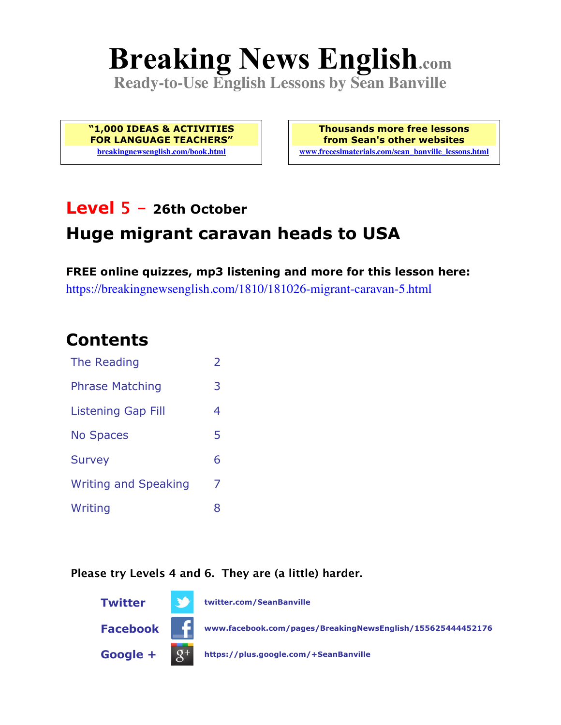# **Breaking News English.com**

**Ready-to-Use English Lessons by Sean Banville**

**"1,000 IDEAS & ACTIVITIES FOR LANGUAGE TEACHERS" breakingnewsenglish.com/book.html**

**Thousands more free lessons from Sean's other websites www.freeeslmaterials.com/sean\_banville\_lessons.html**

# **Level 5 - 26th October**

# **Huge migrant caravan heads to USA**

**FREE online quizzes, mp3 listening and more for this lesson here:** https://breakingnewsenglish.com/1810/181026-migrant-caravan-5.html

### **Contents**

| The Reading                 | $\overline{\phantom{a}}$ |
|-----------------------------|--------------------------|
| <b>Phrase Matching</b>      | 3                        |
| <b>Listening Gap Fill</b>   | 4                        |
| <b>No Spaces</b>            | 5                        |
| <b>Survey</b>               | 6                        |
| <b>Writing and Speaking</b> | 7                        |
| Writing                     | 8                        |

#### **Please try Levels 4 and 6. They are (a little) harder.**

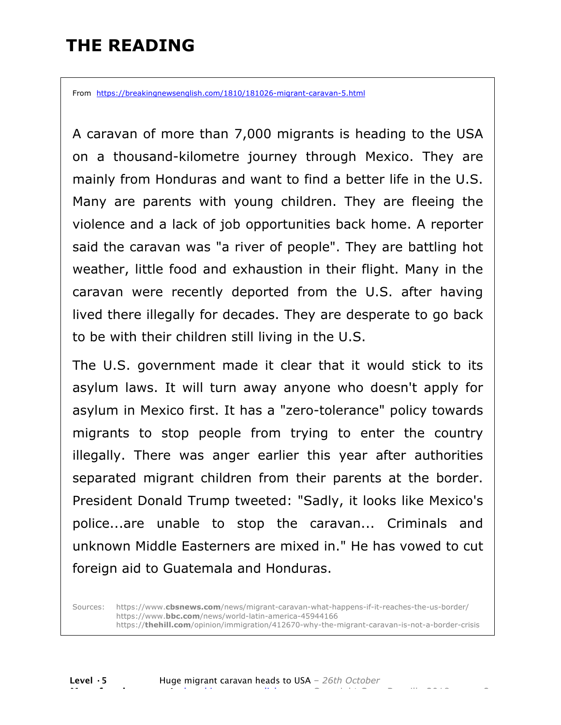# **THE READING**

From https://breakingnewsenglish.com/1810/181026-migrant-caravan-5.html

A caravan of more than 7,000 migrants is heading to the USA on a thousand-kilometre journey through Mexico. They are mainly from Honduras and want to find a better life in the U.S. Many are parents with young children. They are fleeing the violence and a lack of job opportunities back home. A reporter said the caravan was "a river of people". They are battling hot weather, little food and exhaustion in their flight. Many in the caravan were recently deported from the U.S. after having lived there illegally for decades. They are desperate to go back to be with their children still living in the U.S.

The U.S. government made it clear that it would stick to its asylum laws. It will turn away anyone who doesn't apply for asylum in Mexico first. It has a "zero-tolerance" policy towards migrants to stop people from trying to enter the country illegally. There was anger earlier this year after authorities separated migrant children from their parents at the border. President Donald Trump tweeted: "Sadly, it looks like Mexico's police...are unable to stop the caravan... Criminals and unknown Middle Easterners are mixed in." He has vowed to cut foreign aid to Guatemala and Honduras.

Sources: https://www.**cbsnews.com**/news/migrant-caravan-what-happens-if-it-reaches-the-us-border/ https://www.**bbc.com**/news/world-latin-america-45944166 https://**thehill.com**/opinion/immigration/412670-why-the-migrant-caravan-is-not-a-border-crisis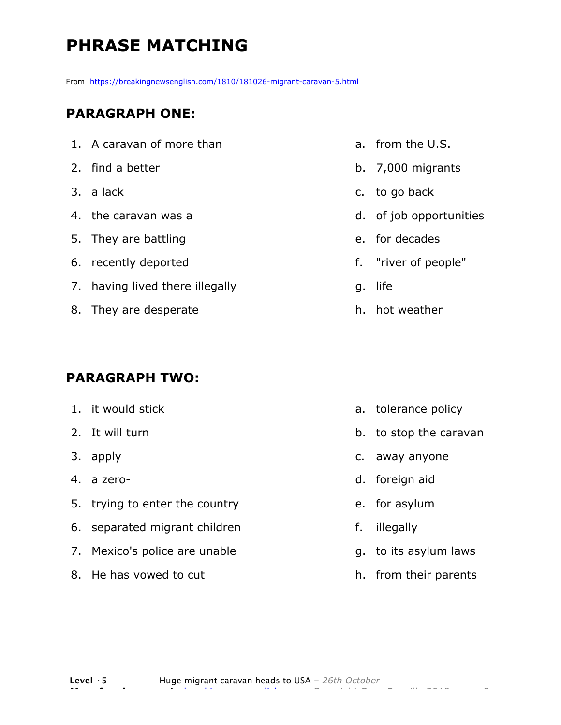# **PHRASE MATCHING**

From https://breakingnewsenglish.com/1810/181026-migrant-caravan-5.html

#### **PARAGRAPH ONE:**

| 1. A caravan of more than       |
|---------------------------------|
| 2. find a better                |
| 3. a lack                       |
| 4. the caravan was a            |
| 5. They are battling            |
| 6. recently deported            |
| 7. having lived there illegally |
| 8. They are desperate           |
|                                 |

#### **PARAGRAPH TWO:**

| 1. it would stick              |
|--------------------------------|
| 2. It will turn                |
| 3. apply                       |
| 4. a zero-                     |
| 5. trying to enter the country |
| 6. separated migrant children  |
| 7. Mexico's police are unable  |
| 8. He has vowed to cut         |
|                                |

- a. from the U.S.
- b. 7,000 migrants
- c. to go back
- d. of job opportunities
- e. for decades
- f. "river of people"
- g. life
- h. hot weather

- a. tolerance policy
- b. to stop the caravan
- c. away anyone
- d. foreign aid
- e. for asylum
- f. illegally
- g. to its asylum laws
- h. from their parents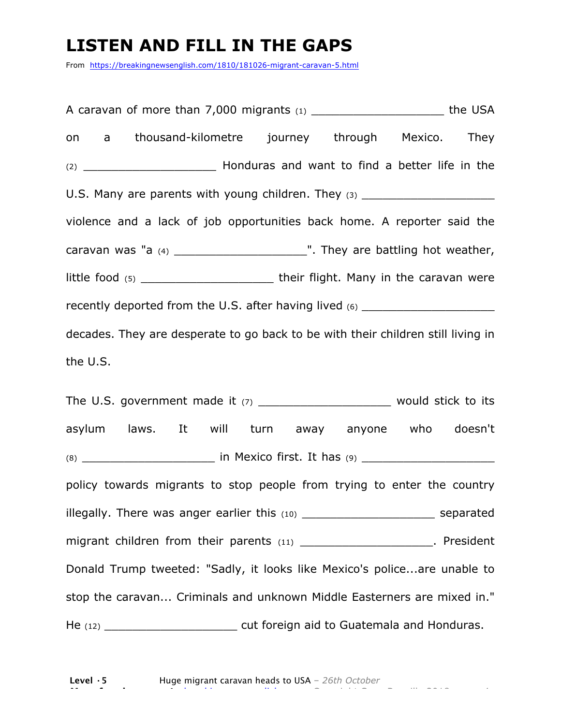### **LISTEN AND FILL IN THE GAPS**

From https://breakingnewsenglish.com/1810/181026-migrant-caravan-5.html

A caravan of more than  $7,000$  migrants  $(1)$  example the USA on a thousand-kilometre journey through Mexico. They (2) \_\_\_\_\_\_\_\_\_\_\_\_\_\_\_\_\_\_\_ Honduras and want to find a better life in the U.S. Many are parents with young children. They (3) \_\_\_\_\_\_\_\_\_\_\_\_\_\_\_\_\_\_\_\_\_\_\_\_\_\_\_\_ violence and a lack of job opportunities back home. A reporter said the caravan was "a (4) \_\_\_\_\_\_\_\_\_\_\_\_\_\_\_\_\_\_\_". They are battling hot weather, little food (5) \_\_\_\_\_\_\_\_\_\_\_\_\_\_\_\_\_\_\_ their flight. Many in the caravan were recently deported from the U.S. after having lived (6) \_\_\_\_\_\_\_\_\_\_\_\_\_\_\_\_\_\_\_\_\_\_\_\_\_ decades. They are desperate to go back to be with their children still living in the U.S. The U.S. government made it  $(7)$  \_\_\_\_\_\_\_\_\_\_\_\_\_\_\_\_\_\_\_\_\_\_\_\_ would stick to its asylum laws. It will turn away anyone who doesn't

(8) \_\_\_\_\_\_\_\_\_\_\_\_\_\_\_\_\_\_\_ in Mexico first. It has (9) \_\_\_\_\_\_\_\_\_\_\_\_\_\_\_\_\_\_\_ policy towards migrants to stop people from trying to enter the country illegally. There was anger earlier this (10) \_\_\_\_\_\_\_\_\_\_\_\_\_\_\_\_\_\_\_\_\_\_\_\_\_\_\_\_\_ separated migrant children from their parents (11) \_\_\_\_\_\_\_\_\_\_\_\_\_\_\_\_\_\_\_\_\_\_\_. President Donald Trump tweeted: "Sadly, it looks like Mexico's police...are unable to stop the caravan... Criminals and unknown Middle Easterners are mixed in." He (12) **He (12)** Cut foreign aid to Guatemala and Honduras.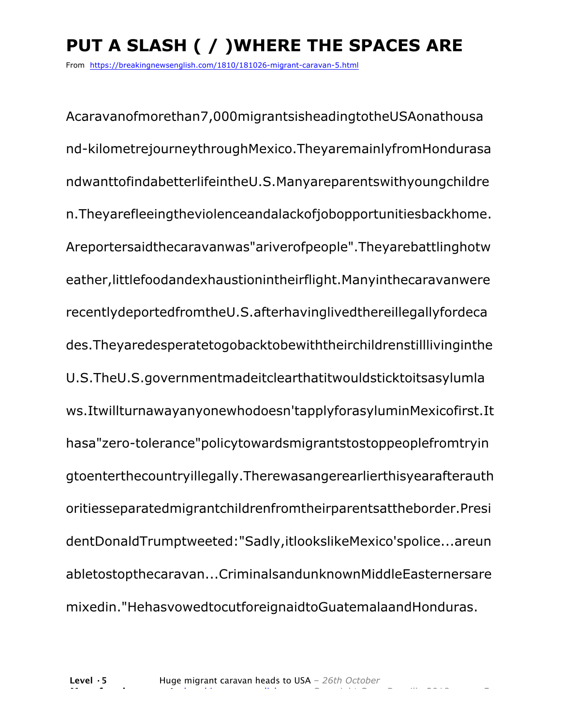# **PUT A SLASH ( / )WHERE THE SPACES ARE**

From https://breakingnewsenglish.com/1810/181026-migrant-caravan-5.html

Acaravanofmorethan7,000migrantsisheadingtotheUSAonathousa nd-kilometrejourneythroughMexico.TheyaremainlyfromHondurasa ndwanttofindabetterlifeintheU.S.Manyareparentswithyoungchildre n.Theyarefleeingtheviolenceandalackofjobopportunitiesbackhome. Areportersaidthecaravanwas"ariverofpeople".Theyarebattlinghotw eather,littlefoodandexhaustionintheirflight.Manyinthecaravanwere recentlydeportedfromtheU.S.afterhavinglivedthereillegallyfordeca des.Theyaredesperatetogobacktobewiththeirchildrenstilllivinginthe U.S.TheU.S.governmentmadeitclearthatitwouldsticktoitsasylumla ws.Itwillturnawayanyonewhodoesn'tapplyforasyluminMexicofirst.It hasa"zero-tolerance"policytowardsmigrantstostoppeoplefromtryin gtoenterthecountryillegally.Therewasangerearlierthisyearafterauth oritiesseparatedmigrantchildrenfromtheirparentsattheborder.Presi dentDonaldTrumptweeted:"Sadly,itlookslikeMexico'spolice...areun abletostopthecaravan...CriminalsandunknownMiddleEasternersare mixedin."HehasvowedtocutforeignaidtoGuatemalaandHonduras.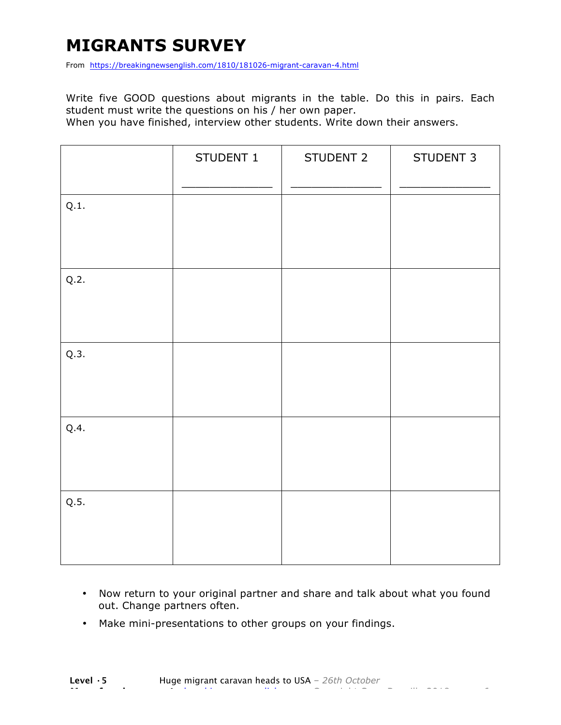# **MIGRANTS SURVEY**

From https://breakingnewsenglish.com/1810/181026-migrant-caravan-4.html

Write five GOOD questions about migrants in the table. Do this in pairs. Each student must write the questions on his / her own paper.

When you have finished, interview other students. Write down their answers.

|      | STUDENT 1 | STUDENT 2 | STUDENT 3 |
|------|-----------|-----------|-----------|
| Q.1. |           |           |           |
| Q.2. |           |           |           |
| Q.3. |           |           |           |
| Q.4. |           |           |           |
| Q.5. |           |           |           |

- Now return to your original partner and share and talk about what you found out. Change partners often.
- Make mini-presentations to other groups on your findings.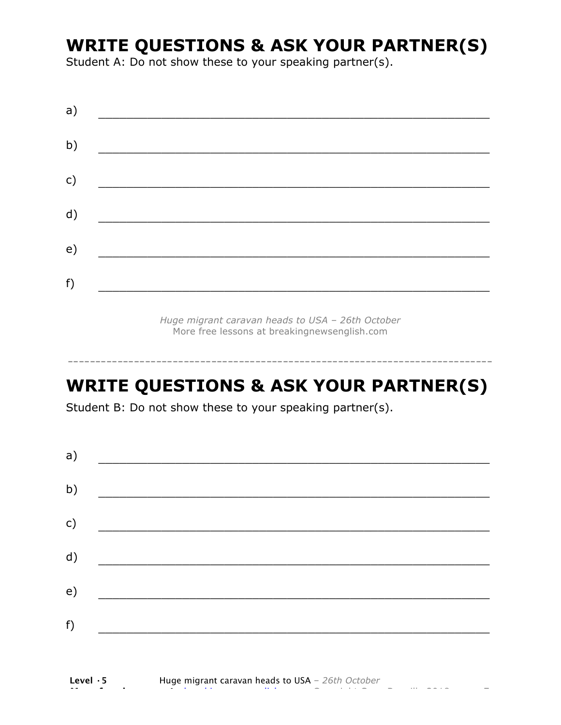# **WRITE QUESTIONS & ASK YOUR PARTNER(S)**

Student A: Do not show these to your speaking partner(s).

| a)            |  |  |
|---------------|--|--|
| b)            |  |  |
| $\mathsf{c})$ |  |  |
| d)            |  |  |
| e)            |  |  |
| f)            |  |  |
|               |  |  |

*Huge migrant caravan heads to USA – 26th October* More free lessons at breakingnewsenglish.com

### **WRITE QUESTIONS & ASK YOUR PARTNER(S)**

-----------------------------------------------------------------------------

Student B: Do not show these to your speaking partner(s).

| a) |  |  |
|----|--|--|
| b) |  |  |
| c) |  |  |
| d) |  |  |
| e) |  |  |
| f) |  |  |
|    |  |  |